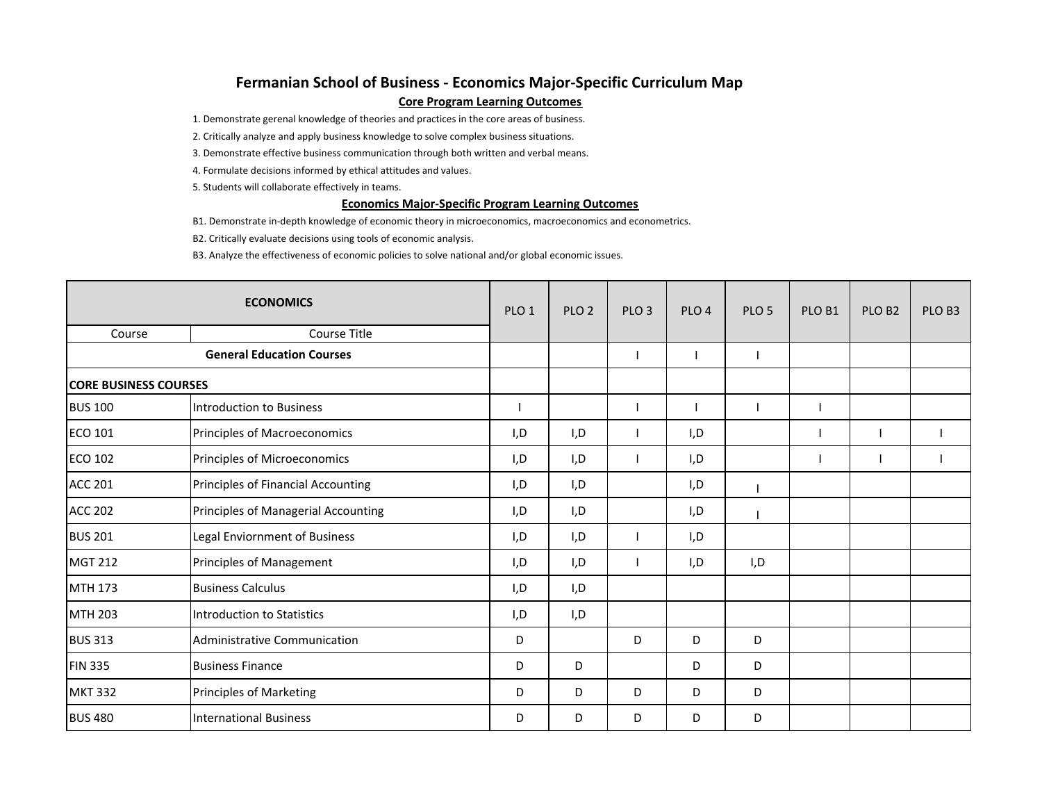## **Fermanian School of Business ‐ Economics Major‐Specific Curriculum Map Core Program Learning Outcomes**

1. Demonstrate gerenal knowledge of theories and practices in the core areas of business.

2. Critically analyze and apply business knowledge to solve complex business situations.

3. Demonstrate effective business communication through both written and verbal means.

4. Formulate decisions informed by ethical attitudes and values.

5. Students will collaborate effectively in teams.

## **Economics Major‐Specific Program Learning Outcomes**

B1. Demonstrate in‐depth knowledge of economic theory in microeconomics, macroeconomics and econometrics.

B2. Critically evaluate decisions using tools of economic analysis.

B3. Analyze the effectiveness of economic policies to solve national and/or global economic issues.

| <b>ECONOMICS</b>                 |                                     | PLO <sub>1</sub> | PLO <sub>2</sub> | PLO <sub>3</sub> | PLO <sub>4</sub> | PLO <sub>5</sub> | PLO <sub>B1</sub> | PLO <sub>B2</sub> | PLO B3 |
|----------------------------------|-------------------------------------|------------------|------------------|------------------|------------------|------------------|-------------------|-------------------|--------|
| Course                           | <b>Course Title</b>                 |                  |                  |                  |                  |                  |                   |                   |        |
| <b>General Education Courses</b> |                                     |                  |                  |                  |                  |                  |                   |                   |        |
| <b>ICORE BUSINESS COURSES</b>    |                                     |                  |                  |                  |                  |                  |                   |                   |        |
| <b>BUS 100</b>                   | Introduction to Business            |                  |                  |                  |                  |                  |                   |                   |        |
| <b>ECO 101</b>                   | Principles of Macroeconomics        | I,D              | I,D              |                  | I,D              |                  |                   |                   |        |
| <b>ECO 102</b>                   | Principles of Microeconomics        | I, D             | I,D              |                  | I,D              |                  |                   |                   |        |
| <b>ACC 201</b>                   | Principles of Financial Accounting  | I, D             | I,D              |                  | I, D             |                  |                   |                   |        |
| <b>ACC 202</b>                   | Principles of Managerial Accounting | I, D             | I,D              |                  | I,D              |                  |                   |                   |        |
| <b>BUS 201</b>                   | Legal Enviornment of Business       | I,D              | I,D              |                  | I,D              |                  |                   |                   |        |
| <b>MGT 212</b>                   | Principles of Management            | I, D             | I, D             |                  | I, D             | I, D             |                   |                   |        |
| <b>MTH 173</b>                   | <b>Business Calculus</b>            | I, D             | I,D              |                  |                  |                  |                   |                   |        |
| MTH 203                          | Introduction to Statistics          | I, D             | I,D              |                  |                  |                  |                   |                   |        |
| <b>BUS 313</b>                   | Administrative Communication        | D                |                  | D                | D                | D                |                   |                   |        |
| <b>FIN 335</b>                   | <b>Business Finance</b>             | D                | D                |                  | D                | D                |                   |                   |        |
| <b>MKT 332</b>                   | <b>Principles of Marketing</b>      | D                | D                | D                | D                | D                |                   |                   |        |
| <b>BUS 480</b>                   | <b>International Business</b>       | D                | D                | D                | D                | D                |                   |                   |        |